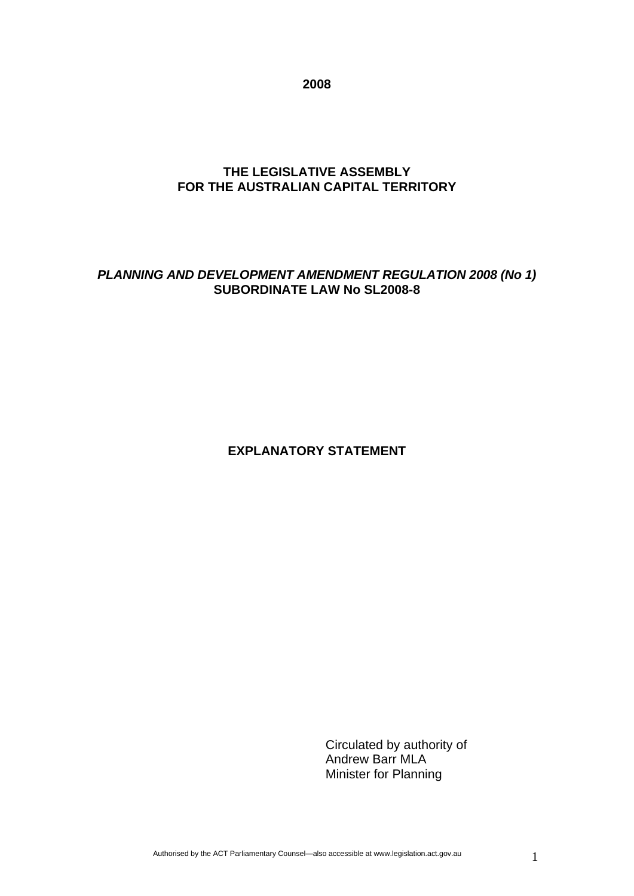**2008** 

# **THE LEGISLATIVE ASSEMBLY FOR THE AUSTRALIAN CAPITAL TERRITORY**

# *PLANNING AND DEVELOPMENT AMENDMENT REGULATION 2008 (No 1)* **SUBORDINATE LAW No SL2008-8**

# **EXPLANATORY STATEMENT**

Circulated by authority of Andrew Barr MLA Minister for Planning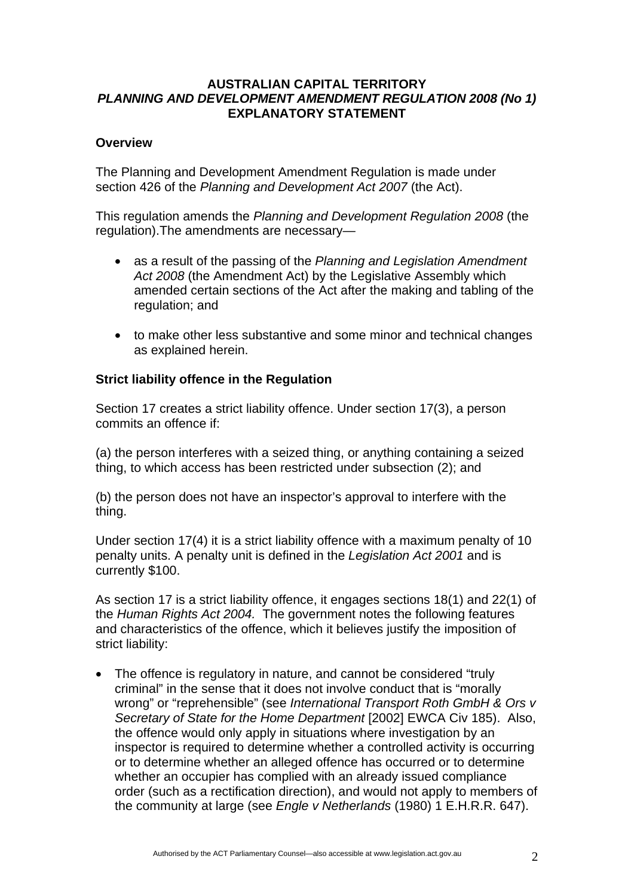# **AUSTRALIAN CAPITAL TERRITORY**  *PLANNING AND DEVELOPMENT AMENDMENT REGULATION 2008 (No 1)* **EXPLANATORY STATEMENT**

# **Overview**

The Planning and Development Amendment Regulation is made under section 426 of the *Planning and Development Act 2007* (the Act).

This regulation amends the *Planning and Development Regulation 2008* (the regulation).The amendments are necessary—

- as a result of the passing of the *Planning and Legislation Amendment Act 2008* (the Amendment Act) by the Legislative Assembly which amended certain sections of the Act after the making and tabling of the regulation; and
- to make other less substantive and some minor and technical changes as explained herein.

### **Strict liability offence in the Regulation**

Section 17 creates a strict liability offence. Under section 17(3), a person commits an offence if:

(a) the person interferes with a seized thing, or anything containing a seized thing, to which access has been restricted under subsection (2); and

(b) the person does not have an inspector's approval to interfere with the thing.

Under section 17(4) it is a strict liability offence with a maximum penalty of 10 penalty units. A penalty unit is defined in the *Legislation Act 2001* and is currently \$100.

As section 17 is a strict liability offence, it engages sections 18(1) and 22(1) of the *Human Rights Act 2004.* The government notes the following features and characteristics of the offence, which it believes justify the imposition of strict liability:

• The offence is regulatory in nature, and cannot be considered "truly" criminal" in the sense that it does not involve conduct that is "morally wrong" or "reprehensible" (see *International Transport Roth GmbH & Ors v Secretary of State for the Home Department* [2002] EWCA Civ 185). Also, the offence would only apply in situations where investigation by an inspector is required to determine whether a controlled activity is occurring or to determine whether an alleged offence has occurred or to determine whether an occupier has complied with an already issued compliance order (such as a rectification direction), and would not apply to members of the community at large (see *Engle v Netherlands* (1980) 1 E.H.R.R. 647).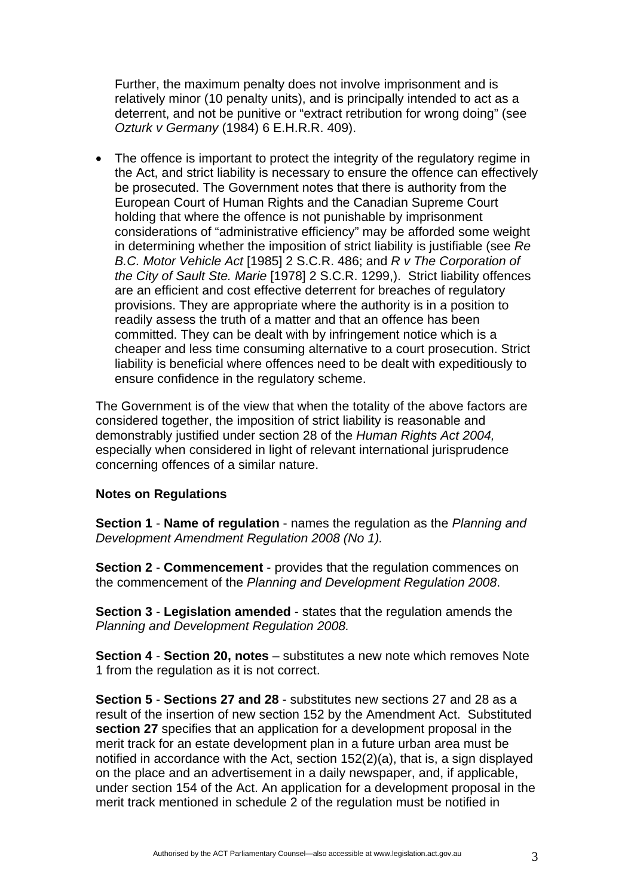Further, the maximum penalty does not involve imprisonment and is relatively minor (10 penalty units), and is principally intended to act as a deterrent, and not be punitive or "extract retribution for wrong doing" (see *Ozturk v Germany* (1984) 6 E.H.R.R. 409).

• The offence is important to protect the integrity of the regulatory regime in the Act, and strict liability is necessary to ensure the offence can effectively be prosecuted. The Government notes that there is authority from the European Court of Human Rights and the Canadian Supreme Court holding that where the offence is not punishable by imprisonment considerations of "administrative efficiency" may be afforded some weight in determining whether the imposition of strict liability is justifiable (see *Re B.C. Motor Vehicle Act* [1985] 2 S.C.R. 486; and *R v The Corporation of the City of Sault Ste. Marie* [1978] 2 S.C.R. 1299,). Strict liability offences are an efficient and cost effective deterrent for breaches of regulatory provisions. They are appropriate where the authority is in a position to readily assess the truth of a matter and that an offence has been committed. They can be dealt with by infringement notice which is a cheaper and less time consuming alternative to a court prosecution. Strict liability is beneficial where offences need to be dealt with expeditiously to ensure confidence in the regulatory scheme.

The Government is of the view that when the totality of the above factors are considered together, the imposition of strict liability is reasonable and demonstrably justified under section 28 of the *Human Rights Act 2004,*  especially when considered in light of relevant international jurisprudence concerning offences of a similar nature.

#### **Notes on Regulations**

**Section 1** - **Name of regulation** - names the regulation as the *Planning and Development Amendment Regulation 2008 (No 1).* 

**Section 2** - **Commencement** - provides that the regulation commences on the commencement of the *Planning and Development Regulation 2008*.

**Section 3** - **Legislation amended** - states that the regulation amends the *Planning and Development Regulation 2008.* 

**Section 4** - **Section 20, notes** – substitutes a new note which removes Note 1 from the regulation as it is not correct.

**Section 5** - **Sections 27 and 28** - substitutes new sections 27 and 28 as a result of the insertion of new section 152 by the Amendment Act. Substituted **section 27** specifies that an application for a development proposal in the merit track for an estate development plan in a future urban area must be notified in accordance with the Act, section 152(2)(a), that is, a sign displayed on the place and an advertisement in a daily newspaper, and, if applicable, under section 154 of the Act. An application for a development proposal in the merit track mentioned in schedule 2 of the regulation must be notified in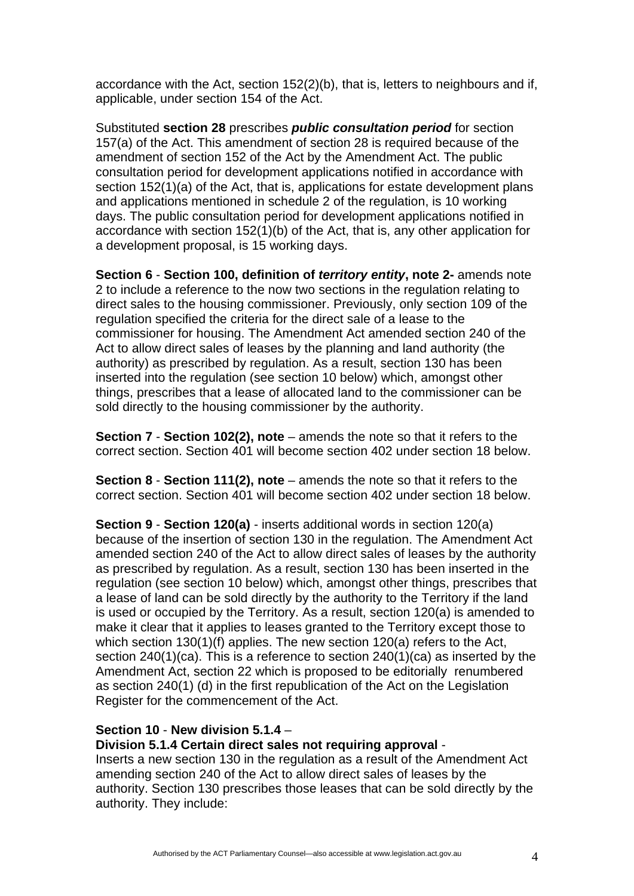accordance with the Act, section 152(2)(b), that is, letters to neighbours and if, applicable, under section 154 of the Act.

Substituted **section 28** prescribes *public consultation period* for section 157(a) of the Act. This amendment of section 28 is required because of the amendment of section 152 of the Act by the Amendment Act. The public consultation period for development applications notified in accordance with section 152(1)(a) of the Act, that is, applications for estate development plans and applications mentioned in schedule 2 of the regulation, is 10 working days. The public consultation period for development applications notified in accordance with section 152(1)(b) of the Act, that is, any other application for a development proposal, is 15 working days.

**Section 6** - **Section 100, definition of** *territory entity***, note 2-** amends note 2 to include a reference to the now two sections in the regulation relating to direct sales to the housing commissioner. Previously, only section 109 of the regulation specified the criteria for the direct sale of a lease to the commissioner for housing. The Amendment Act amended section 240 of the Act to allow direct sales of leases by the planning and land authority (the authority) as prescribed by regulation. As a result, section 130 has been inserted into the regulation (see section 10 below) which, amongst other things, prescribes that a lease of allocated land to the commissioner can be sold directly to the housing commissioner by the authority.

**Section 7 - Section 102(2), note** – amends the note so that it refers to the correct section. Section 401 will become section 402 under section 18 below.

**Section 8** - **Section 111(2), note** – amends the note so that it refers to the correct section. Section 401 will become section 402 under section 18 below.

**Section 9** - **Section 120(a)** - inserts additional words in section 120(a) because of the insertion of section 130 in the regulation. The Amendment Act amended section 240 of the Act to allow direct sales of leases by the authority as prescribed by regulation. As a result, section 130 has been inserted in the regulation (see section 10 below) which, amongst other things, prescribes that a lease of land can be sold directly by the authority to the Territory if the land is used or occupied by the Territory. As a result, section 120(a) is amended to make it clear that it applies to leases granted to the Territory except those to which section 130(1)(f) applies. The new section 120(a) refers to the Act, section 240(1)(ca). This is a reference to section 240(1)(ca) as inserted by the Amendment Act, section 22 which is proposed to be editorially renumbered as section 240(1) (d) in the first republication of the Act on the Legislation Register for the commencement of the Act.

# **Section 10** - **New division 5.1.4** –

#### **Division 5.1.4 Certain direct sales not requiring approval** -

Inserts a new section 130 in the regulation as a result of the Amendment Act amending section 240 of the Act to allow direct sales of leases by the authority. Section 130 prescribes those leases that can be sold directly by the authority. They include: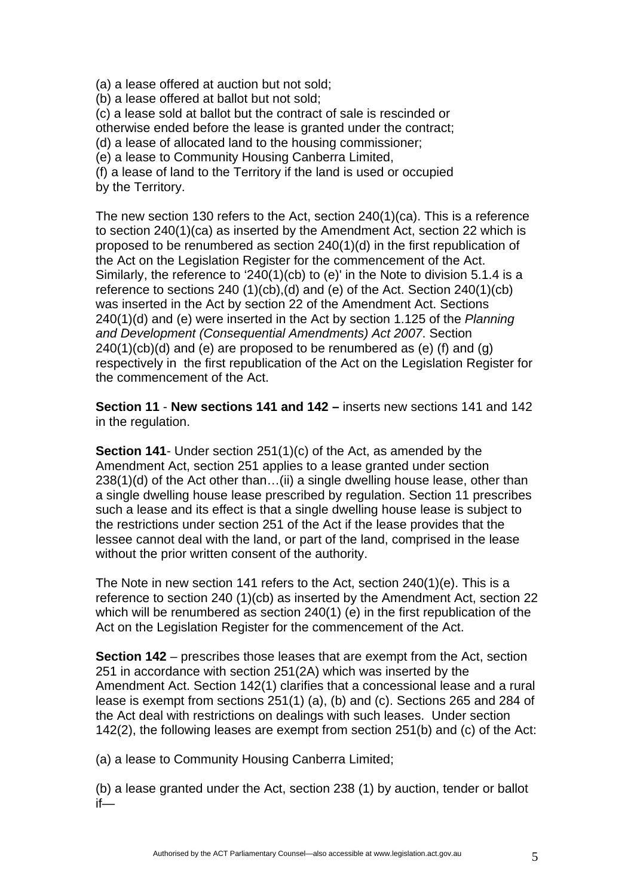(a) a lease offered at auction but not sold;

(b) a lease offered at ballot but not sold;

(c) a lease sold at ballot but the contract of sale is rescinded or otherwise ended before the lease is granted under the contract;

(d) a lease of allocated land to the housing commissioner;

(e) a lease to Community Housing Canberra Limited,

(f) a lease of land to the Territory if the land is used or occupied by the Territory.

The new section 130 refers to the Act, section 240(1)(ca). This is a reference to section 240(1)(ca) as inserted by the Amendment Act, section 22 which is proposed to be renumbered as section 240(1)(d) in the first republication of the Act on the Legislation Register for the commencement of the Act. Similarly, the reference to '240(1)(cb) to (e)' in the Note to division 5.1.4 is a reference to sections 240 (1)(cb),(d) and (e) of the Act. Section 240(1)(cb) was inserted in the Act by section 22 of the Amendment Act. Sections 240(1)(d) and (e) were inserted in the Act by section 1.125 of the *Planning and Development (Consequential Amendments) Act 2007*. Section  $240(1)(cb)(d)$  and (e) are proposed to be renumbered as (e) (f) and (g) respectively in the first republication of the Act on the Legislation Register for the commencement of the Act.

**Section 11** - **New sections 141 and 142 –** inserts new sections 141 and 142 in the regulation.

**Section 141**- Under section 251(1)(c) of the Act, as amended by the Amendment Act, section 251 applies to a lease granted under section 238(1)(d) of the Act other than…(ii) a single dwelling house lease, other than a single dwelling house lease prescribed by regulation. Section 11 prescribes such a lease and its effect is that a single dwelling house lease is subject to the restrictions under section 251 of the Act if the lease provides that the lessee cannot deal with the land, or part of the land, comprised in the lease without the prior written consent of the authority.

The Note in new section 141 refers to the Act, section 240(1)(e). This is a reference to section 240 (1)(cb) as inserted by the Amendment Act, section 22 which will be renumbered as section 240(1) (e) in the first republication of the Act on the Legislation Register for the commencement of the Act.

**Section 142** – prescribes those leases that are exempt from the Act, section 251 in accordance with section 251(2A) which was inserted by the Amendment Act. Section 142(1) clarifies that a concessional lease and a rural lease is exempt from sections 251(1) (a), (b) and (c). Sections 265 and 284 of the Act deal with restrictions on dealings with such leases. Under section 142(2), the following leases are exempt from section 251(b) and (c) of the Act:

(a) a lease to Community Housing Canberra Limited;

(b) a lease granted under the Act, section 238 (1) by auction, tender or ballot if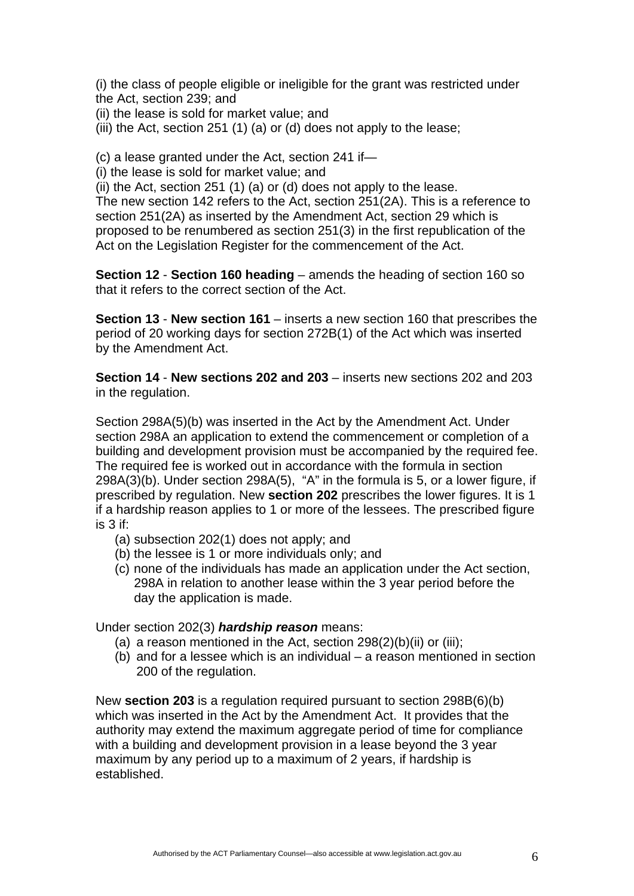(i) the class of people eligible or ineligible for the grant was restricted under the Act, section 239; and

(ii) the lease is sold for market value; and

(iii) the Act, section 251 (1) (a) or (d) does not apply to the lease;

(c) a lease granted under the Act, section 241 if—

(i) the lease is sold for market value; and

(ii) the Act, section 251 (1) (a) or (d) does not apply to the lease. The new section 142 refers to the Act, section 251(2A). This is a reference to section 251(2A) as inserted by the Amendment Act, section 29 which is proposed to be renumbered as section 251(3) in the first republication of the Act on the Legislation Register for the commencement of the Act.

**Section 12** - **Section 160 heading** – amends the heading of section 160 so that it refers to the correct section of the Act.

**Section 13** - **New section 161** – inserts a new section 160 that prescribes the period of 20 working days for section 272B(1) of the Act which was inserted by the Amendment Act.

**Section 14** - **New sections 202 and 203** – inserts new sections 202 and 203 in the regulation.

Section 298A(5)(b) was inserted in the Act by the Amendment Act. Under section 298A an application to extend the commencement or completion of a building and development provision must be accompanied by the required fee. The required fee is worked out in accordance with the formula in section 298A(3)(b). Under section 298A(5), "A" in the formula is 5, or a lower figure, if prescribed by regulation. New **section 202** prescribes the lower figures. It is 1 if a hardship reason applies to 1 or more of the lessees. The prescribed figure is 3 if:

- (a) subsection 202(1) does not apply; and
- (b) the lessee is 1 or more individuals only; and
- (c) none of the individuals has made an application under the Act section, 298A in relation to another lease within the 3 year period before the day the application is made.

Under section 202(3) *hardship reason* means:

- (a) a reason mentioned in the Act, section  $298(2)(b)(ii)$  or (iii);
- (b) and for a lessee which is an individual a reason mentioned in section 200 of the regulation.

New **section 203** is a regulation required pursuant to section 298B(6)(b) which was inserted in the Act by the Amendment Act. It provides that the authority may extend the maximum aggregate period of time for compliance with a building and development provision in a lease beyond the 3 year maximum by any period up to a maximum of 2 years, if hardship is established.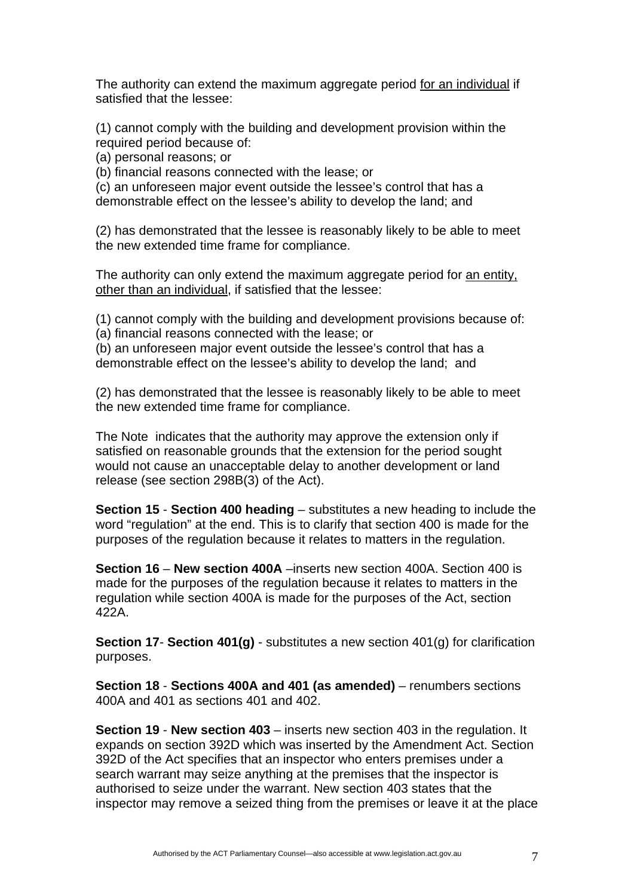The authority can extend the maximum aggregate period for an individual if satisfied that the lessee:

(1) cannot comply with the building and development provision within the required period because of:

(a) personal reasons; or

(b) financial reasons connected with the lease; or

(c) an unforeseen major event outside the lessee's control that has a demonstrable effect on the lessee's ability to develop the land; and

(2) has demonstrated that the lessee is reasonably likely to be able to meet the new extended time frame for compliance.

The authority can only extend the maximum aggregate period for an entity, other than an individual, if satisfied that the lessee:

(1) cannot comply with the building and development provisions because of: (a) financial reasons connected with the lease; or

(b) an unforeseen major event outside the lessee's control that has a demonstrable effect on the lessee's ability to develop the land; and

(2) has demonstrated that the lessee is reasonably likely to be able to meet the new extended time frame for compliance.

The Note indicates that the authority may approve the extension only if satisfied on reasonable grounds that the extension for the period sought would not cause an unacceptable delay to another development or land release (see section 298B(3) of the Act).

**Section 15** - **Section 400 heading** – substitutes a new heading to include the word "regulation" at the end. This is to clarify that section 400 is made for the purposes of the regulation because it relates to matters in the regulation.

**Section 16** – **New section 400A** –inserts new section 400A. Section 400 is made for the purposes of the regulation because it relates to matters in the regulation while section 400A is made for the purposes of the Act, section 422A.

**Section 17**- **Section 401(g)** - substitutes a new section 401(g) for clarification purposes.

**Section 18** - **Sections 400A and 401 (as amended)** – renumbers sections 400A and 401 as sections 401 and 402.

**Section 19** - **New section 403** – inserts new section 403 in the regulation. It expands on section 392D which was inserted by the Amendment Act. Section 392D of the Act specifies that an inspector who enters premises under a search warrant may seize anything at the premises that the inspector is authorised to seize under the warrant. New section 403 states that the inspector may remove a seized thing from the premises or leave it at the place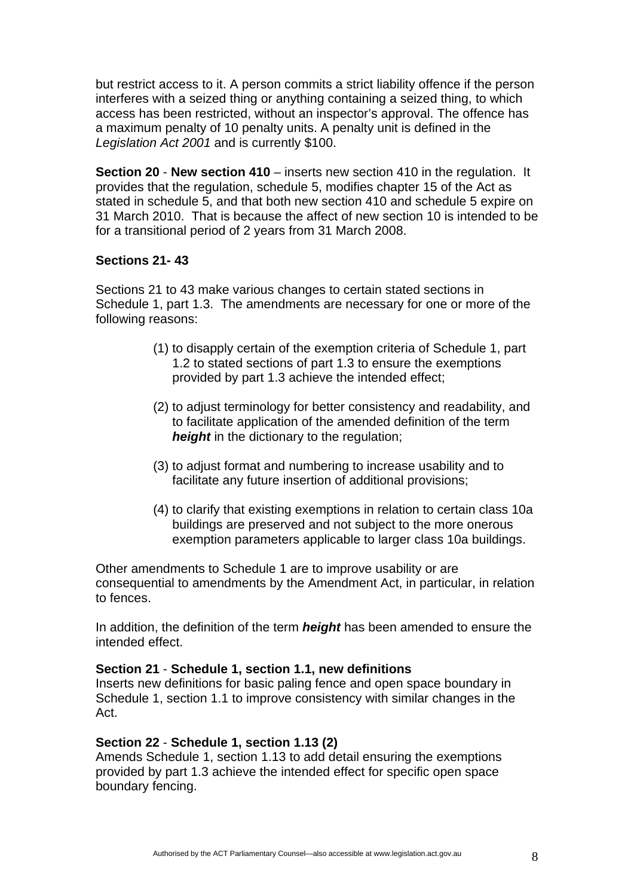but restrict access to it. A person commits a strict liability offence if the person interferes with a seized thing or anything containing a seized thing, to which access has been restricted, without an inspector's approval. The offence has a maximum penalty of 10 penalty units. A penalty unit is defined in the *Legislation Act 2001* and is currently \$100.

**Section 20** - **New section 410** – inserts new section 410 in the regulation. It provides that the regulation, schedule 5, modifies chapter 15 of the Act as stated in schedule 5, and that both new section 410 and schedule 5 expire on 31 March 2010. That is because the affect of new section 10 is intended to be for a transitional period of 2 years from 31 March 2008.

# **Sections 21- 43**

Sections 21 to 43 make various changes to certain stated sections in Schedule 1, part 1.3. The amendments are necessary for one or more of the following reasons:

- (1) to disapply certain of the exemption criteria of Schedule 1, part 1.2 to stated sections of part 1.3 to ensure the exemptions provided by part 1.3 achieve the intended effect;
- (2) to adjust terminology for better consistency and readability, and to facilitate application of the amended definition of the term *height* in the dictionary to the regulation;
- (3) to adjust format and numbering to increase usability and to facilitate any future insertion of additional provisions;
- (4) to clarify that existing exemptions in relation to certain class 10a buildings are preserved and not subject to the more onerous exemption parameters applicable to larger class 10a buildings.

Other amendments to Schedule 1 are to improve usability or are consequential to amendments by the Amendment Act, in particular, in relation to fences.

In addition, the definition of the term *height* has been amended to ensure the intended effect.

# **Section 21** - **Schedule 1, section 1.1, new definitions**

Inserts new definitions for basic paling fence and open space boundary in Schedule 1, section 1.1 to improve consistency with similar changes in the Act.

# **Section 22** - **Schedule 1, section 1.13 (2)**

Amends Schedule 1, section 1.13 to add detail ensuring the exemptions provided by part 1.3 achieve the intended effect for specific open space boundary fencing.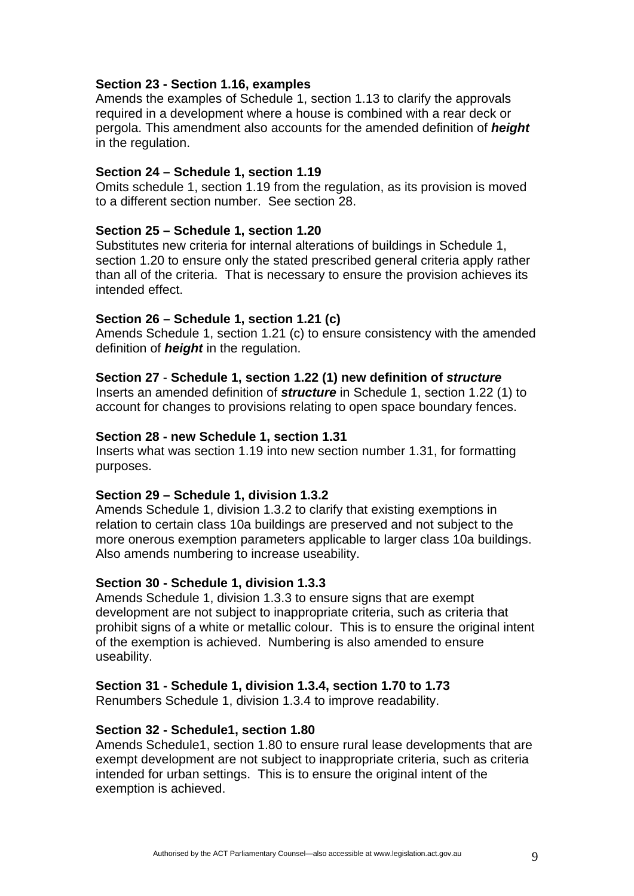### **Section 23 - Section 1.16, examples**

Amends the examples of Schedule 1, section 1.13 to clarify the approvals required in a development where a house is combined with a rear deck or pergola. This amendment also accounts for the amended definition of *height* in the regulation.

### **Section 24 – Schedule 1, section 1.19**

Omits schedule 1, section 1.19 from the regulation, as its provision is moved to a different section number. See section 28.

### **Section 25 – Schedule 1, section 1.20**

Substitutes new criteria for internal alterations of buildings in Schedule 1, section 1.20 to ensure only the stated prescribed general criteria apply rather than all of the criteria. That is necessary to ensure the provision achieves its intended effect.

### **Section 26 – Schedule 1, section 1.21 (c)**

Amends Schedule 1, section 1.21 (c) to ensure consistency with the amended definition of *height* in the regulation.

### **Section 27** - **Schedule 1, section 1.22 (1) new definition of** *structure*

Inserts an amended definition of *structure* in Schedule 1, section 1.22 (1) to account for changes to provisions relating to open space boundary fences.

#### **Section 28 - new Schedule 1, section 1.31**

Inserts what was section 1.19 into new section number 1.31, for formatting purposes.

#### **Section 29 – Schedule 1, division 1.3.2**

Amends Schedule 1, division 1.3.2 to clarify that existing exemptions in relation to certain class 10a buildings are preserved and not subject to the more onerous exemption parameters applicable to larger class 10a buildings. Also amends numbering to increase useability.

#### **Section 30 - Schedule 1, division 1.3.3**

Amends Schedule 1, division 1.3.3 to ensure signs that are exempt development are not subject to inappropriate criteria, such as criteria that prohibit signs of a white or metallic colour. This is to ensure the original intent of the exemption is achieved. Numbering is also amended to ensure useability.

# **Section 31 - Schedule 1, division 1.3.4, section 1.70 to 1.73**

Renumbers Schedule 1, division 1.3.4 to improve readability.

#### **Section 32 - Schedule1, section 1.80**

Amends Schedule1, section 1.80 to ensure rural lease developments that are exempt development are not subject to inappropriate criteria, such as criteria intended for urban settings. This is to ensure the original intent of the exemption is achieved.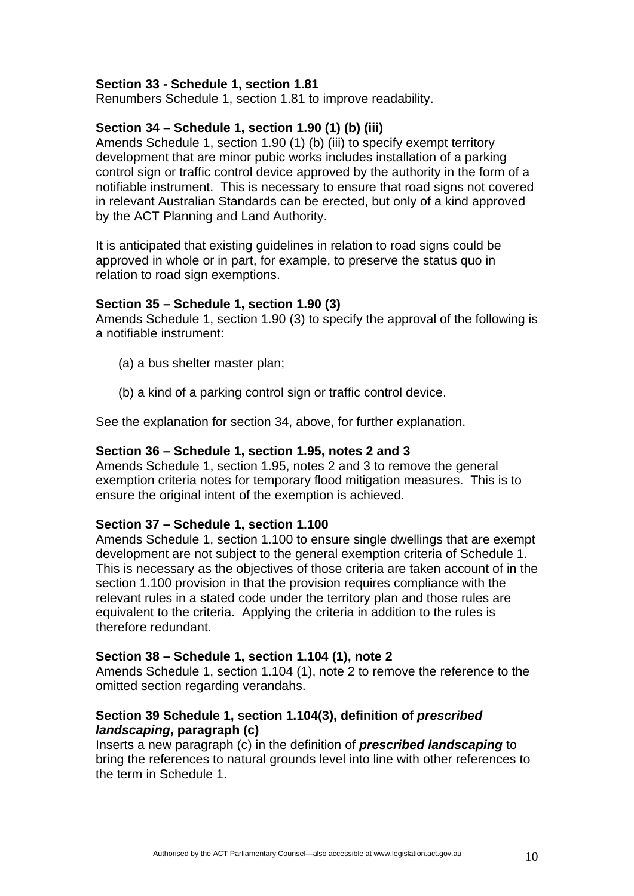### **Section 33 - Schedule 1, section 1.81**

Renumbers Schedule 1, section 1.81 to improve readability.

# **Section 34 – Schedule 1, section 1.90 (1) (b) (iii)**

Amends Schedule 1, section 1.90 (1) (b) (iii) to specify exempt territory development that are minor pubic works includes installation of a parking control sign or traffic control device approved by the authority in the form of a notifiable instrument. This is necessary to ensure that road signs not covered in relevant Australian Standards can be erected, but only of a kind approved by the ACT Planning and Land Authority.

It is anticipated that existing guidelines in relation to road signs could be approved in whole or in part, for example, to preserve the status quo in relation to road sign exemptions.

# **Section 35 – Schedule 1, section 1.90 (3)**

Amends Schedule 1, section 1.90 (3) to specify the approval of the following is a notifiable instrument:

- (a) a bus shelter master plan;
- (b) a kind of a parking control sign or traffic control device.

See the explanation for section 34, above, for further explanation.

### **Section 36 – Schedule 1, section 1.95, notes 2 and 3**

Amends Schedule 1, section 1.95, notes 2 and 3 to remove the general exemption criteria notes for temporary flood mitigation measures. This is to ensure the original intent of the exemption is achieved.

#### **Section 37 – Schedule 1, section 1.100**

Amends Schedule 1, section 1.100 to ensure single dwellings that are exempt development are not subject to the general exemption criteria of Schedule 1. This is necessary as the objectives of those criteria are taken account of in the section 1.100 provision in that the provision requires compliance with the relevant rules in a stated code under the territory plan and those rules are equivalent to the criteria. Applying the criteria in addition to the rules is therefore redundant.

# **Section 38 – Schedule 1, section 1.104 (1), note 2**

Amends Schedule 1, section 1.104 (1), note 2 to remove the reference to the omitted section regarding verandahs.

# **Section 39 Schedule 1, section 1.104(3), definition of** *prescribed landscaping***, paragraph (c)**

Inserts a new paragraph (c) in the definition of *prescribed landscaping* to bring the references to natural grounds level into line with other references to the term in Schedule 1.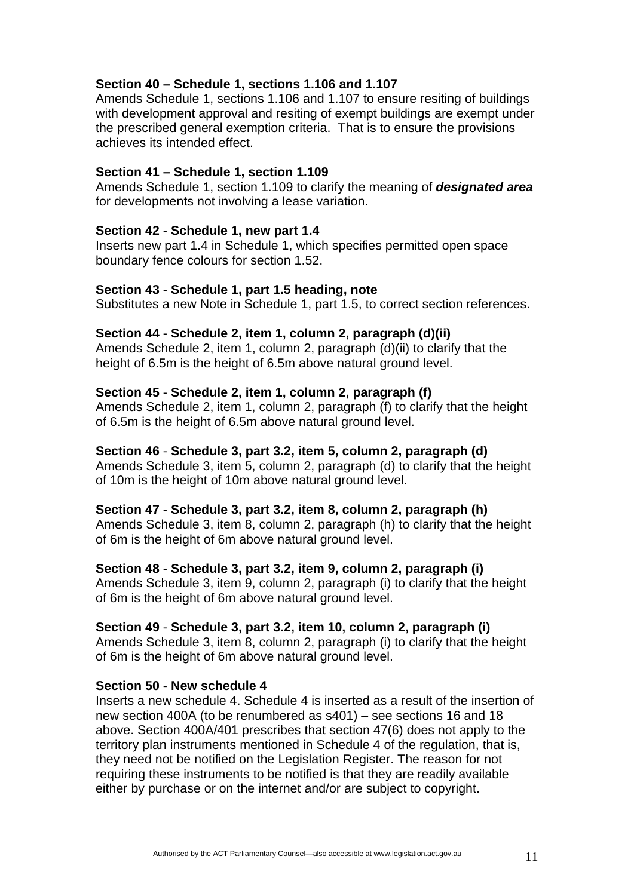# **Section 40 – Schedule 1, sections 1.106 and 1.107**

Amends Schedule 1, sections 1.106 and 1.107 to ensure resiting of buildings with development approval and resiting of exempt buildings are exempt under the prescribed general exemption criteria. That is to ensure the provisions achieves its intended effect.

### **Section 41 – Schedule 1, section 1.109**

Amends Schedule 1, section 1.109 to clarify the meaning of *designated area* for developments not involving a lease variation.

### **Section 42** - **Schedule 1, new part 1.4**

Inserts new part 1.4 in Schedule 1, which specifies permitted open space boundary fence colours for section 1.52.

#### **Section 43** - **Schedule 1, part 1.5 heading, note**

Substitutes a new Note in Schedule 1, part 1.5, to correct section references.

#### **Section 44** - **Schedule 2, item 1, column 2, paragraph (d)(ii)**

Amends Schedule 2, item 1, column 2, paragraph (d)(ii) to clarify that the height of 6.5m is the height of 6.5m above natural ground level.

### **Section 45** - **Schedule 2, item 1, column 2, paragraph (f)**

Amends Schedule 2, item 1, column 2, paragraph (f) to clarify that the height of 6.5m is the height of 6.5m above natural ground level.

#### **Section 46** - **Schedule 3, part 3.2, item 5, column 2, paragraph (d)**

Amends Schedule 3, item 5, column 2, paragraph (d) to clarify that the height of 10m is the height of 10m above natural ground level.

# **Section 47** - **Schedule 3, part 3.2, item 8, column 2, paragraph (h)**

Amends Schedule 3, item 8, column 2, paragraph (h) to clarify that the height of 6m is the height of 6m above natural ground level.

### **Section 48** - **Schedule 3, part 3.2, item 9, column 2, paragraph (i)**

Amends Schedule 3, item 9, column 2, paragraph (i) to clarify that the height of 6m is the height of 6m above natural ground level.

#### **Section 49** - **Schedule 3, part 3.2, item 10, column 2, paragraph (i)**

Amends Schedule 3, item 8, column 2, paragraph (i) to clarify that the height of 6m is the height of 6m above natural ground level.

#### **Section 50** - **New schedule 4**

Inserts a new schedule 4. Schedule 4 is inserted as a result of the insertion of new section 400A (to be renumbered as s401) – see sections 16 and 18 above. Section 400A/401 prescribes that section 47(6) does not apply to the territory plan instruments mentioned in Schedule 4 of the regulation, that is, they need not be notified on the Legislation Register. The reason for not requiring these instruments to be notified is that they are readily available either by purchase or on the internet and/or are subject to copyright.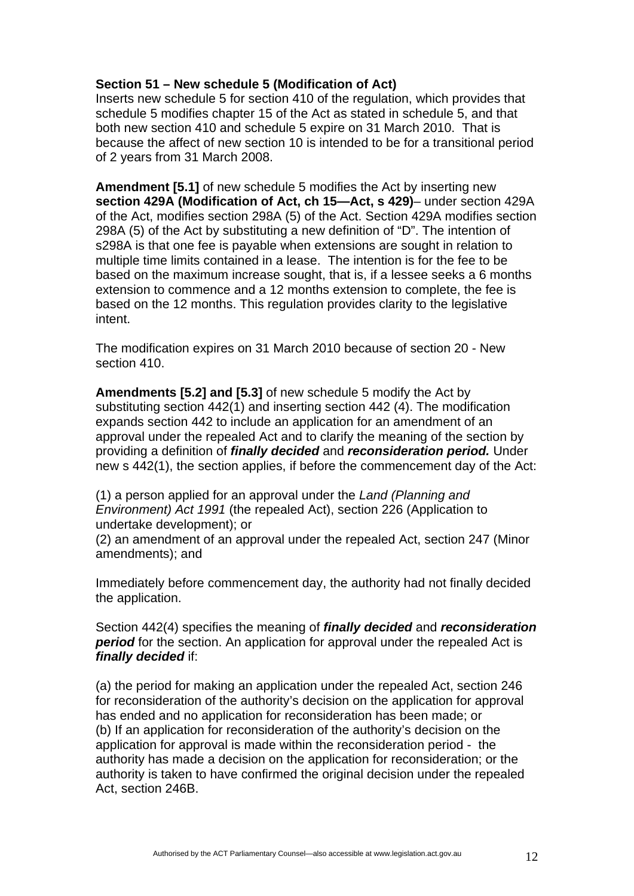# **Section 51 – New schedule 5 (Modification of Act)**

Inserts new schedule 5 for section 410 of the regulation, which provides that schedule 5 modifies chapter 15 of the Act as stated in schedule 5, and that both new section 410 and schedule 5 expire on 31 March 2010. That is because the affect of new section 10 is intended to be for a transitional period of 2 years from 31 March 2008.

**Amendment [5.1]** of new schedule 5 modifies the Act by inserting new **section 429A (Modification of Act, ch 15—Act, s 429)**– under section 429A of the Act, modifies section 298A (5) of the Act. Section 429A modifies section 298A (5) of the Act by substituting a new definition of "D". The intention of s298A is that one fee is payable when extensions are sought in relation to multiple time limits contained in a lease. The intention is for the fee to be based on the maximum increase sought, that is, if a lessee seeks a 6 months extension to commence and a 12 months extension to complete, the fee is based on the 12 months. This regulation provides clarity to the legislative intent.

The modification expires on 31 March 2010 because of section 20 - New section 410.

**Amendments [5.2] and [5.3]** of new schedule 5 modify the Act by substituting section 442(1) and inserting section 442 (4). The modification expands section 442 to include an application for an amendment of an approval under the repealed Act and to clarify the meaning of the section by providing a definition of *finally decided* and *reconsideration period.* Under new s 442(1), the section applies, if before the commencement day of the Act:

(1) a person applied for an approval under the *Land (Planning and Environment) Act 1991* (the repealed Act), section 226 (Application to undertake development); or

(2) an amendment of an approval under the repealed Act, section 247 (Minor amendments); and

Immediately before commencement day, the authority had not finally decided the application.

Section 442(4) specifies the meaning of *finally decided* and *reconsideration period* for the section. An application for approval under the repealed Act is *finally decided* if:

(a) the period for making an application under the repealed Act, section 246 for reconsideration of the authority's decision on the application for approval has ended and no application for reconsideration has been made; or (b) If an application for reconsideration of the authority's decision on the application for approval is made within the reconsideration period - the authority has made a decision on the application for reconsideration; or the authority is taken to have confirmed the original decision under the repealed Act, section 246B.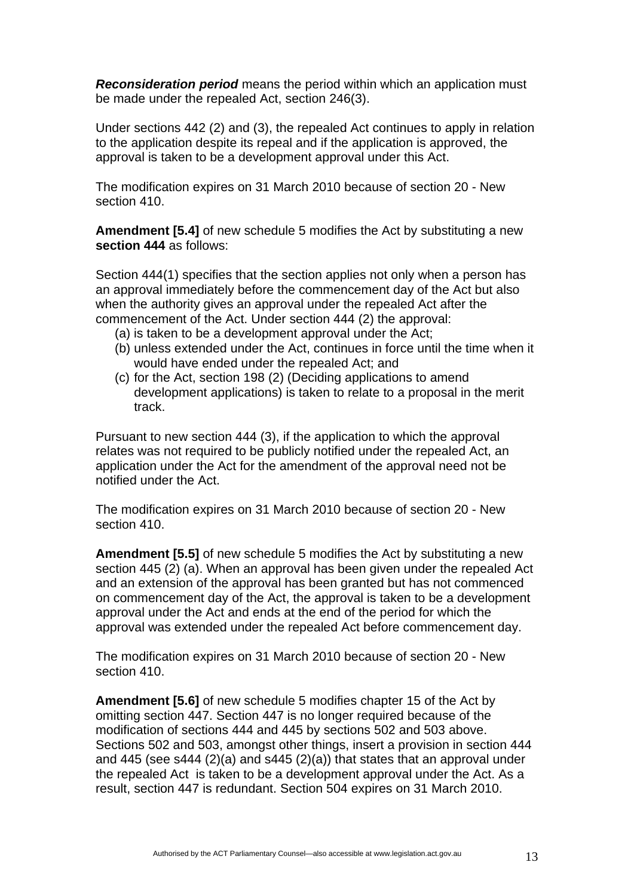*Reconsideration period* means the period within which an application must be made under the repealed Act, section 246(3).

Under sections 442 (2) and (3), the repealed Act continues to apply in relation to the application despite its repeal and if the application is approved, the approval is taken to be a development approval under this Act.

The modification expires on 31 March 2010 because of section 20 - New section 410.

**Amendment [5.4]** of new schedule 5 modifies the Act by substituting a new **section 444** as follows:

Section 444(1) specifies that the section applies not only when a person has an approval immediately before the commencement day of the Act but also when the authority gives an approval under the repealed Act after the commencement of the Act. Under section 444 (2) the approval:

- (a) is taken to be a development approval under the Act;
- (b) unless extended under the Act, continues in force until the time when it would have ended under the repealed Act; and
- (c) for the Act, section 198 (2) (Deciding applications to amend development applications) is taken to relate to a proposal in the merit track.

Pursuant to new section 444 (3), if the application to which the approval relates was not required to be publicly notified under the repealed Act, an application under the Act for the amendment of the approval need not be notified under the Act.

The modification expires on 31 March 2010 because of section 20 - New section 410.

**Amendment [5.5]** of new schedule 5 modifies the Act by substituting a new section 445 (2) (a). When an approval has been given under the repealed Act and an extension of the approval has been granted but has not commenced on commencement day of the Act, the approval is taken to be a development approval under the Act and ends at the end of the period for which the approval was extended under the repealed Act before commencement day.

The modification expires on 31 March 2010 because of section 20 - New section 410.

**Amendment [5.6]** of new schedule 5 modifies chapter 15 of the Act by omitting section 447. Section 447 is no longer required because of the modification of sections 444 and 445 by sections 502 and 503 above. Sections 502 and 503, amongst other things, insert a provision in section 444 and 445 (see s444 (2)(a) and s445 (2)(a)) that states that an approval under the repealed Act is taken to be a development approval under the Act. As a result, section 447 is redundant. Section 504 expires on 31 March 2010.